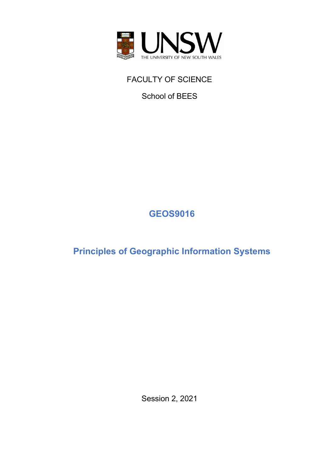

FACULTY OF SCIENCE

School of BEES

# **GEOS9016**

**Principles of Geographic Information Systems**

Session 2, 2021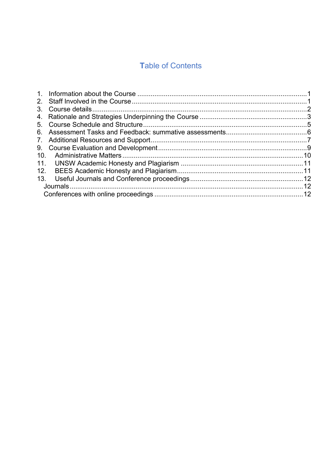# **Table of Contents**

| 6.  |  |
|-----|--|
|     |  |
|     |  |
| 10. |  |
|     |  |
| 12. |  |
| 13. |  |
|     |  |
|     |  |
|     |  |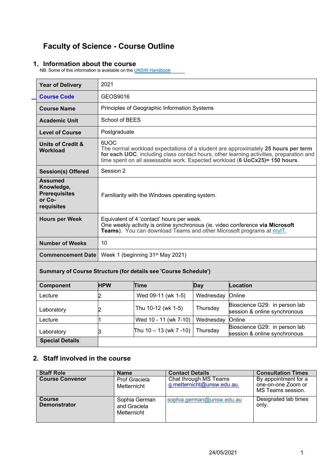# **Faculty of Science - Course Outline**

### <span id="page-2-0"></span>**1. Information about the course**

NB: Some of this information is available on the <u>UNSW Handbook</u>

| <b>Year of Delivery</b>                                                      | 2021                                                                                                                                                                                               |                                                                                                                                                                                                                                                             |           |                                                               |  |  |  |
|------------------------------------------------------------------------------|----------------------------------------------------------------------------------------------------------------------------------------------------------------------------------------------------|-------------------------------------------------------------------------------------------------------------------------------------------------------------------------------------------------------------------------------------------------------------|-----------|---------------------------------------------------------------|--|--|--|
| <b>Course Code</b>                                                           | GEOS9016                                                                                                                                                                                           |                                                                                                                                                                                                                                                             |           |                                                               |  |  |  |
| <b>Course Name</b>                                                           |                                                                                                                                                                                                    | Principles of Geographic Information Systems                                                                                                                                                                                                                |           |                                                               |  |  |  |
| <b>Academic Unit</b>                                                         | School of BEES                                                                                                                                                                                     |                                                                                                                                                                                                                                                             |           |                                                               |  |  |  |
| <b>Level of Course</b>                                                       | Postgraduate                                                                                                                                                                                       |                                                                                                                                                                                                                                                             |           |                                                               |  |  |  |
| <b>Units of Credit &amp;</b><br><b>Workload</b>                              | 6UOC                                                                                                                                                                                               | The normal workload expectations of a student are approximately 25 hours per term<br>for each UOC, including class contact hours, other learning activities, preparation and<br>time spent on all assessable work. Expected workload (6 UoCx25)= 150 hours. |           |                                                               |  |  |  |
| <b>Session(s) Offered</b>                                                    | Session 2                                                                                                                                                                                          |                                                                                                                                                                                                                                                             |           |                                                               |  |  |  |
| <b>Assumed</b><br>Knowledge,<br><b>Prerequisites</b><br>or Co-<br>requisites | Familiarity with the Windows operating system.                                                                                                                                                     |                                                                                                                                                                                                                                                             |           |                                                               |  |  |  |
| <b>Hours per Week</b>                                                        | Equivalent of 4 'contact' hours per week.<br>One weekly activity is online synchronous (ie. video conference via Microsoft<br>Teams). You can download Teams and other Microsoft programs at myIT. |                                                                                                                                                                                                                                                             |           |                                                               |  |  |  |
| <b>Number of Weeks</b>                                                       | 10                                                                                                                                                                                                 |                                                                                                                                                                                                                                                             |           |                                                               |  |  |  |
| <b>Commencement Date</b>                                                     | Week 1 (beginning 31 <sup>st</sup> May 2021)                                                                                                                                                       |                                                                                                                                                                                                                                                             |           |                                                               |  |  |  |
|                                                                              | Summary of Course Structure (for details see 'Course Schedule')                                                                                                                                    |                                                                                                                                                                                                                                                             |           |                                                               |  |  |  |
| Component                                                                    | <b>HPW</b>                                                                                                                                                                                         | Time<br>Day                                                                                                                                                                                                                                                 |           | Location                                                      |  |  |  |
| Lecture                                                                      | 2                                                                                                                                                                                                  | Wed 09-11 (wk 1-5)                                                                                                                                                                                                                                          |           | Online                                                        |  |  |  |
| Laboratory                                                                   | Thu 10-12 (wk 1-5)<br>2                                                                                                                                                                            |                                                                                                                                                                                                                                                             | Thursday  | Bioscience G29: in person lab<br>session & online synchronous |  |  |  |
| Lecture                                                                      | $\overline{1}$                                                                                                                                                                                     | Wed 10 - 11 (wk 7-10)                                                                                                                                                                                                                                       | Wednesday | Online                                                        |  |  |  |
| Laboratory                                                                   | Bioscience G29: in person lab<br>Thu $10 - 13$ (wk $7 - 10$ )<br>Thursday<br>З<br>session & online synchronous                                                                                     |                                                                                                                                                                                                                                                             |           |                                                               |  |  |  |
| <b>Special Details</b>                                                       |                                                                                                                                                                                                    |                                                                                                                                                                                                                                                             |           |                                                               |  |  |  |

### <span id="page-2-1"></span>**2. Staff involved in the course**

| <b>Staff Role</b>                    | <b>Name</b>                                  | <b>Contact Details</b>                              | <b>Consultation Times</b>                                       |
|--------------------------------------|----------------------------------------------|-----------------------------------------------------|-----------------------------------------------------------------|
| <b>Course Convenor</b>               | Prof Graciela<br>Metternicht                 | Chat through MS Teams<br>g.metternicht@unsw.edu.au. | By appointment for a<br>one-on-one Zoom or<br>MS Teams session. |
| <b>Course</b><br><b>Demonstrator</b> | Sophia German<br>and Graciela<br>Metternicht | sophia.german@unsw.edu.au                           | Designated lab times<br>only.                                   |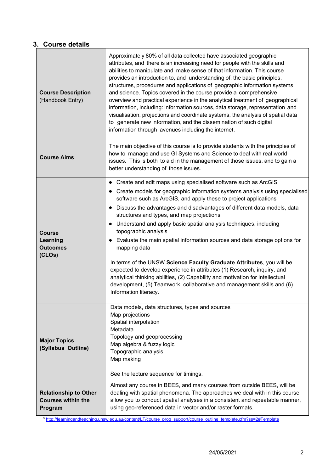# <span id="page-3-0"></span>**3. Course details**

| <b>Course Description</b><br>(Handbook Entry) | Approximately 80% of all data collected have associated geographic<br>attributes, and there is an increasing need for people with the skills and<br>abilities to manipulate and make sense of that information. This course<br>provides an introduction to, and understanding of, the basic principles,<br>structures, procedures and applications of geographic information systems<br>and science. Topics covered in the course provide a comprehensive<br>overview and practical experience in the analytical treatment of geographical<br>information, including: information sources, data storage, representation and<br>visualisation, projections and coordinate systems, the analysis of spatial data<br>to generate new information, and the dissemination of such digital<br>information through avenues including the internet. |
|-----------------------------------------------|---------------------------------------------------------------------------------------------------------------------------------------------------------------------------------------------------------------------------------------------------------------------------------------------------------------------------------------------------------------------------------------------------------------------------------------------------------------------------------------------------------------------------------------------------------------------------------------------------------------------------------------------------------------------------------------------------------------------------------------------------------------------------------------------------------------------------------------------|
| <b>Course Aims</b>                            | The main objective of this course is to provide students with the principles of<br>how to manage and use GI Systems and Science to deal with real world<br>issues. This is both to aid in the management of those issues, and to gain a<br>better understanding of those issues.                                                                                                                                                                                                                                                                                                                                                                                                                                                                                                                                                            |
|                                               | Create and edit maps using specialised software such as ArcGIS<br>٠                                                                                                                                                                                                                                                                                                                                                                                                                                                                                                                                                                                                                                                                                                                                                                         |
|                                               | • Create models for geographic information systems analysis using specialised<br>software such as ArcGIS, and apply these to project applications                                                                                                                                                                                                                                                                                                                                                                                                                                                                                                                                                                                                                                                                                           |
|                                               | • Discuss the advantages and disadvantages of different data models, data<br>structures and types, and map projections                                                                                                                                                                                                                                                                                                                                                                                                                                                                                                                                                                                                                                                                                                                      |
|                                               | • Understand and apply basic spatial analysis techniques, including                                                                                                                                                                                                                                                                                                                                                                                                                                                                                                                                                                                                                                                                                                                                                                         |
| <b>Course</b>                                 | topographic analysis                                                                                                                                                                                                                                                                                                                                                                                                                                                                                                                                                                                                                                                                                                                                                                                                                        |
| Learning<br><b>Outcomes</b>                   | • Evaluate the main spatial information sources and data storage options for<br>mapping data                                                                                                                                                                                                                                                                                                                                                                                                                                                                                                                                                                                                                                                                                                                                                |
| (CLOs)                                        | In terms of the UNSW Science Faculty Graduate Attributes, you will be                                                                                                                                                                                                                                                                                                                                                                                                                                                                                                                                                                                                                                                                                                                                                                       |
|                                               | expected to develop experience in attributes (1) Research, inquiry, and<br>analytical thinking abilities, (2) Capability and motivation for intellectual                                                                                                                                                                                                                                                                                                                                                                                                                                                                                                                                                                                                                                                                                    |
|                                               | development, (5) Teamwork, collaborative and management skills and (6)                                                                                                                                                                                                                                                                                                                                                                                                                                                                                                                                                                                                                                                                                                                                                                      |
|                                               | Information literacy.                                                                                                                                                                                                                                                                                                                                                                                                                                                                                                                                                                                                                                                                                                                                                                                                                       |
|                                               | Data models, data structures, types and sources                                                                                                                                                                                                                                                                                                                                                                                                                                                                                                                                                                                                                                                                                                                                                                                             |
|                                               | Map projections<br>Spatial interpolation                                                                                                                                                                                                                                                                                                                                                                                                                                                                                                                                                                                                                                                                                                                                                                                                    |
|                                               | Metadata<br>Topology and geoprocessing                                                                                                                                                                                                                                                                                                                                                                                                                                                                                                                                                                                                                                                                                                                                                                                                      |
| <b>Major Topics</b>                           | Map algebra & fuzzy logic                                                                                                                                                                                                                                                                                                                                                                                                                                                                                                                                                                                                                                                                                                                                                                                                                   |
| (Syllabus Outline)                            | Topographic analysis<br>Map making                                                                                                                                                                                                                                                                                                                                                                                                                                                                                                                                                                                                                                                                                                                                                                                                          |
|                                               |                                                                                                                                                                                                                                                                                                                                                                                                                                                                                                                                                                                                                                                                                                                                                                                                                                             |
|                                               | See the lecture sequence for timings.                                                                                                                                                                                                                                                                                                                                                                                                                                                                                                                                                                                                                                                                                                                                                                                                       |
| <b>Relationship to Other</b>                  | Almost any course in BEES, and many courses from outside BEES, will be<br>dealing with spatial phenomena. The approaches we deal with in this course                                                                                                                                                                                                                                                                                                                                                                                                                                                                                                                                                                                                                                                                                        |
| <b>Courses within the</b><br>Program          | allow you to conduct spatial analyses in a consistent and repeatable manner,<br>using geo-referenced data in vector and/or raster formats.                                                                                                                                                                                                                                                                                                                                                                                                                                                                                                                                                                                                                                                                                                  |

3 [http://learningandteaching.unsw.edu.au/content/LT/course\\_prog\\_support/course\\_outline\\_template.cfm?ss=2#Template](http://learningandteaching.unsw.edu.au/content/LT/course_prog_support/course_outline_template.cfm?ss=2&Template)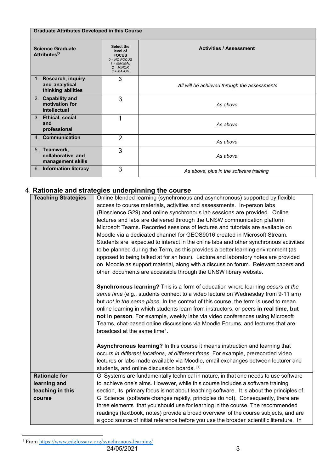| <b>Graduate Attributes Developed in this Course</b>                      |                                                                                                         |                                              |  |  |
|--------------------------------------------------------------------------|---------------------------------------------------------------------------------------------------------|----------------------------------------------|--|--|
| <b>Science Graduate</b><br>Attributes <sup>5</sup>                       | Select the<br>level of<br><b>FOCUS</b><br>$0 = NO$ FOCUS<br>$1 = MINIMAL$<br>$2 = MINOR$<br>$3 = MAJOR$ | <b>Activities / Assessment</b>               |  |  |
| Research, inquiry<br>$1_{\cdot}$<br>and analytical<br>thinking abilities | 3                                                                                                       | All will be achieved through the assessments |  |  |
| 2. Capability and<br>motivation for<br>intellectual                      | 3                                                                                                       | As above                                     |  |  |
| 3. Ethical, social<br>and<br>professional                                | 1                                                                                                       | As above                                     |  |  |
| 4. Communication                                                         | $\overline{2}$                                                                                          | As above                                     |  |  |
| 5. Teamwork,<br>collaborative and<br>management skills                   | 3                                                                                                       | As above                                     |  |  |
| 6. Information literacy                                                  | 3                                                                                                       | As above, plus in the software training      |  |  |

### <span id="page-4-0"></span>4. **Rationale and strategies underpinning the course**

| <b>Teaching Strategies</b> | Online blended learning (synchronous and asynchronous) supported by flexible             |
|----------------------------|------------------------------------------------------------------------------------------|
|                            | access to course materials, activities and assessments. In-person labs                   |
|                            | (Bioscience G29) and online synchronous lab sessions are provided. Online                |
|                            | lectures and labs are delivered through the UNSW communication platform                  |
|                            | Microsoft Teams. Recorded sessions of lectures and tutorials are available on            |
|                            | Moodle via a dedicated channel for GEOS9016 created in Microsoft Stream.                 |
|                            | Students are expected to interact in the online labs and other synchronous activities    |
|                            | to be planned during the Term, as this provides a better learning environment (as        |
|                            | opposed to being talked at for an hour). Lecture and laboratory notes are provided       |
|                            | on Moodle as support material, along with a discussion forum. Relevant papers and        |
|                            | other documents are accessible through the UNSW library website.                         |
|                            | Synchronous learning? This is a form of education where learning occurs at the           |
|                            | same time (e.g., students connect to a video lecture on Wednesday from 9-11 am)          |
|                            | but not in the same place. In the context of this course, the term is used to mean       |
|                            | online learning in which students learn from instructors, or peers in real time, but     |
|                            | not in person. For example, weekly labs via video conferences using Microsoft            |
|                            | Teams, chat-based online discussions via Moodle Forums, and lectures that are            |
|                            | broadcast at the same time <sup>1</sup> .                                                |
|                            |                                                                                          |
|                            | Asynchronous learning? In this course it means instruction and learning that             |
|                            | occurs in different locations, at different times. For example, prerecorded video        |
|                            | lectures or labs made available via Moodle, email exchanges between lecturer and         |
|                            | students, and online discussion boards. [1].                                             |
| <b>Rationale for</b>       | GI Systems are fundamentally technical in nature, in that one needs to use software      |
| learning and               | to achieve one's aims. However, while this course includes a software training           |
| teaching in this           | section, its primary focus is not about teaching software. It is about the principles of |
| course                     | GI Science (software changes rapidly, principles do not). Consequently, there are        |
|                            | three elements that you should use for learning in the course. The recommended           |
|                            | readings (textbook, notes) provide a broad overview of the course subjects, and are      |
|                            | a good source of initial reference before you use the broader scientific literature. In  |

<span id="page-4-1"></span><sup>&</sup>lt;sup>1</sup> From<https://www.edglossary.org/synchronous-learning/>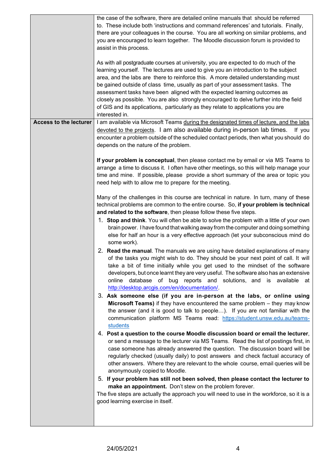|                               | the case of the software, there are detailed online manuals that should be referred<br>to. These include both 'instructions and command references' and tutorials. Finally,<br>there are your colleagues in the course. You are all working on similar problems, and<br>you are encouraged to learn together. The Moodle discussion forum is provided to<br>assist in this process.<br>As with all postgraduate courses at university, you are expected to do much of the<br>learning yourself. The lectures are used to give you an introduction to the subject<br>area, and the labs are there to reinforce this. A more detailed understanding must<br>be gained outside of class time, usually as part of your assessment tasks. The<br>assessment tasks have been aligned with the expected learning outcomes as<br>closely as possible. You are also strongly encouraged to delve further into the field<br>of GIS and its applications, particularly as they relate to applications you are<br>interested in.                                                                                                                                                                                                                                                                                                                                                                                                                                                                                                                                                                                                                                                                                                                                                                                                                                                                                                                                                                                                                                                                                                                                                                                                                                                                                                                                                                                                                                                                                                                                                                                                                                                                                                                                          |
|-------------------------------|---------------------------------------------------------------------------------------------------------------------------------------------------------------------------------------------------------------------------------------------------------------------------------------------------------------------------------------------------------------------------------------------------------------------------------------------------------------------------------------------------------------------------------------------------------------------------------------------------------------------------------------------------------------------------------------------------------------------------------------------------------------------------------------------------------------------------------------------------------------------------------------------------------------------------------------------------------------------------------------------------------------------------------------------------------------------------------------------------------------------------------------------------------------------------------------------------------------------------------------------------------------------------------------------------------------------------------------------------------------------------------------------------------------------------------------------------------------------------------------------------------------------------------------------------------------------------------------------------------------------------------------------------------------------------------------------------------------------------------------------------------------------------------------------------------------------------------------------------------------------------------------------------------------------------------------------------------------------------------------------------------------------------------------------------------------------------------------------------------------------------------------------------------------------------------------------------------------------------------------------------------------------------------------------------------------------------------------------------------------------------------------------------------------------------------------------------------------------------------------------------------------------------------------------------------------------------------------------------------------------------------------------------------------------------------------------------------------------------------------------------------------|
| <b>Access to the lecturer</b> | I am available via Microsoft Teams during the designated times of lecture, and the labs<br>devoted to the projects. I am also available during in-person lab times.<br>If you<br>encounter a problem outside of the scheduled contact periods, then what you should do<br>depends on the nature of the problem.<br>If your problem is conceptual, then please contact me by email or via MS Teams to<br>arrange a time to discuss it. I often have other meetings, so this will help manage your<br>time and mine. If possible, please provide a short summary of the area or topic you<br>need help with to allow me to prepare for the meeting.<br>Many of the challenges in this course are technical in nature. In turn, many of these<br>technical problems are common to the entire course. So, if your problem is technical<br>and related to the software, then please follow these five steps.<br>1. Stop and think. You will often be able to solve the problem with a little of your own<br>brain power. I have found that walking away from the computer and doing something<br>else for half an hour is a very effective approach (let your subconscious mind do<br>some work).<br>2. Read the manual. The manuals we are using have detailed explanations of many<br>of the tasks you might wish to do. They should be your next point of call. It will<br>take a bit of time initially while you get used to the mindset of the software<br>developers, but once learnt they are very useful. The software also has an extensive<br>online database of bug reports and solutions, and is available at<br>http://desktop.arcgis.com/en/documentation/.<br>3. Ask someone else (if you are in-person at the labs, or online using<br>Microsoft Teams) if they have encountered the same problem - they may know<br>the answer (and it is good to talk to people). If you are not familiar with the<br>communication platform MS Teams read: https://student.unsw.edu.au/teams-<br>students<br>4. Post a question to the course Moodle discussion board or email the lecturer,<br>or send a message to the lecturer via MS Teams. Read the list of postings first, in<br>case someone has already answered the question. The discussion board will be<br>regularly checked (usually daily) to post answers and check factual accuracy of<br>other answers. Where they are relevant to the whole course, email queries will be<br>anonymously copied to Moodle.<br>5. If your problem has still not been solved, then please contact the lecturer to<br>make an appointment. Don't stew on the problem forever.<br>The five steps are actually the approach you will need to use in the workforce, so it is a<br>good learning exercise in itself. |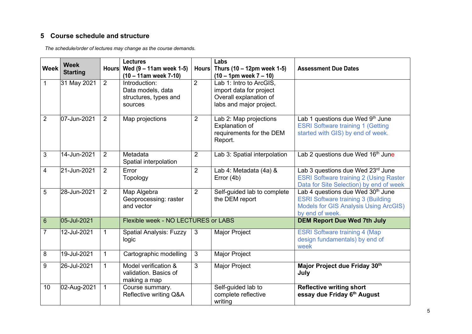### **5 Course schedule and structure**

*The schedule/order of lectures may change as the course demands.*

<span id="page-6-0"></span>

| <b>Week</b>    | <b>Week</b><br><b>Starting</b> | <b>Hours</b>   | <b>Lectures</b><br>Wed $(9 - 11$ am week 1-5)<br>$(10 - 11$ am week 7-10) | <b>Hours</b>   | Labs<br>Thurs (10 – 12pm week 1-5)<br>$(10 - 1pm$ week $7 - 10)$                                        | <b>Assessment Due Dates</b>                                                                                                                                   |
|----------------|--------------------------------|----------------|---------------------------------------------------------------------------|----------------|---------------------------------------------------------------------------------------------------------|---------------------------------------------------------------------------------------------------------------------------------------------------------------|
| 1              | 31 May 2021                    | $\overline{2}$ | Introduction:<br>Data models, data<br>structures, types and<br>sources    | $\overline{2}$ | Lab 1: Intro to ArcGIS,<br>import data for project<br>Overall explanation of<br>labs and major project. |                                                                                                                                                               |
| $\overline{2}$ | 07-Jun-2021                    | $\overline{2}$ | Map projections                                                           | $\overline{2}$ | Lab 2: Map projections<br>Explanation of<br>requirements for the DEM<br>Report.                         | Lab 1 questions due Wed 9th June<br><b>ESRI Software training 1 (Getting</b><br>started with GIS) by end of week.                                             |
| 3              | 14-Jun-2021                    | $\overline{2}$ | Metadata<br>Spatial interpolation                                         | $\overline{2}$ | Lab 3: Spatial interpolation                                                                            | Lab 2 questions due Wed 16 <sup>th</sup> June                                                                                                                 |
| 4              | 21-Jun-2021                    | $\overline{2}$ | Error<br>Topology                                                         | $\overline{2}$ | Lab 4: Metadata (4a) &<br>Error (4b)                                                                    | Lab 3 questions due Wed 23rd June<br><b>ESRI Software training 2 (Using Raster</b><br>Data for Site Selection) by end of week                                 |
| 5              | 28-Jun-2021                    | 2              | Map Algebra<br>Geoprocessing: raster<br>and vector                        | $\overline{2}$ | Self-guided lab to complete<br>the DEM report                                                           | Lab 4 questions due Wed 30 <sup>th</sup> June<br><b>ESRI Software training 3 (Building</b><br><b>Models for GIS Analysis Using ArcGIS)</b><br>by end of week. |
| $6\phantom{1}$ | 05-Jul-2021                    |                | Flexible week - NO LECTURES or LABS                                       |                |                                                                                                         | <b>DEM Report Due Wed 7th July</b>                                                                                                                            |
| $\overline{7}$ | 12-Jul-2021                    | 1              | <b>Spatial Analysis: Fuzzy</b><br>logic                                   | 3              | Major Project                                                                                           | <b>ESRI Software training 4 (Map</b><br>design fundamentals) by end of<br>week                                                                                |
| 8              | 19-Jul-2021                    | $\mathbf 1$    | Cartographic modelling                                                    | 3              | <b>Major Project</b>                                                                                    |                                                                                                                                                               |
| 9              | 26-Jul-2021                    | $\mathbf{1}$   | Model verification &<br>validation. Basics of<br>making a map             | 3              | Major Project                                                                                           | Major Project due Friday 30th<br>July                                                                                                                         |
| 10             | 02-Aug-2021                    | 1              | Course summary.<br>Reflective writing Q&A                                 |                | Self-guided lab to<br>complete reflective<br>writing                                                    | <b>Reflective writing short</b><br>essay due Friday 6th August                                                                                                |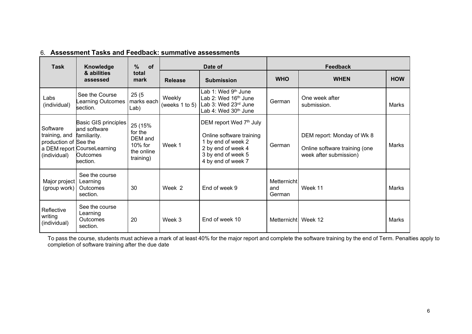| <b>Task</b>                                                        | Knowledge                                                                                                          | %<br>of                                                                |                          | Date of                                                                                                                                     | <b>Feedback</b>              |                                                                                       |            |
|--------------------------------------------------------------------|--------------------------------------------------------------------------------------------------------------------|------------------------------------------------------------------------|--------------------------|---------------------------------------------------------------------------------------------------------------------------------------------|------------------------------|---------------------------------------------------------------------------------------|------------|
|                                                                    | & abilities<br>assessed                                                                                            | total<br>mark                                                          | <b>Release</b>           | <b>Submission</b>                                                                                                                           | <b>WHO</b>                   | <b>WHEN</b>                                                                           | <b>HOW</b> |
| Labs<br>(individual)                                               | See the Course<br>Learning Outcomes<br>section.                                                                    | 25(5)<br>marks each<br>Lab)                                            | Weekly<br>(weeks 1 to 5) | Lab 1: Wed 9 <sup>th</sup> June<br>Lab 2: Wed 16 <sup>th</sup> June<br>Lab 3: Wed 23rd June<br>Lab 4: Wed $30th$ June                       | German                       | One week after<br>submission.                                                         | Marks      |
| Software<br>training, and<br>production of See the<br>(individual) | Basic GIS principles<br>and software<br>familiarity.<br>a DEM report CourseLearning<br><b>Outcomes</b><br>section. | 25 (15%<br>for the<br>DEM and<br>$10\%$ for<br>the online<br>training) | Week 1                   | DEM report Wed 7th July<br>Online software training<br>1 by end of week 2<br>2 by end of week 4<br>3 by end of week 5<br>4 by end of week 7 | German                       | DEM report: Monday of Wk 8<br>Online software training (one<br>week after submission) | Marks      |
| Major project<br>(group work)                                      | See the course<br>Learning<br>Outcomes<br>section.                                                                 | 30                                                                     | Week 2                   | End of week 9                                                                                                                               | Metternicht<br>and<br>German | Week 11                                                                               | Marks      |
| Reflective<br>writing<br>(individual)                              | See the course<br>Learning<br>Outcomes<br>section.                                                                 | 20                                                                     | Week 3                   | End of week 10                                                                                                                              | Metternicht                  | Week 12                                                                               | Marks      |

### 6. **Assessment Tasks and Feedback: summative assessments**

<span id="page-7-0"></span>To pass the course, students must achieve a mark of at least 40% for the major report and complete the software training by the end of Term. Penalties apply to completion of software training after the due date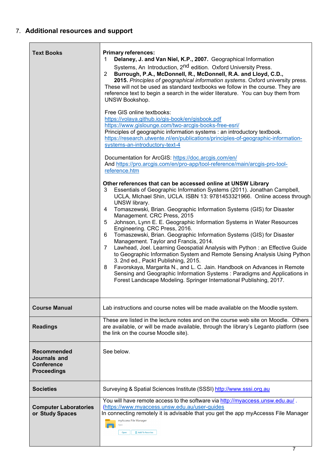## <span id="page-8-0"></span>7. **Additional resources and support**

| <b>Text Books</b>                                                      | <b>Primary references:</b><br>Delaney, J. and Van Niel, K.P., 2007. Geographical Information<br>1<br>Systems, An Introduction, 2 <sup>nd</sup> edition. Oxford University Press.<br>$\overline{2}$<br>Burrough, P.A., McDonnell, R., McDonnell, R.A. and Lloyd, C.D.,<br>2015. Principles of geographical information systems. Oxford university press.<br>These will not be used as standard textbooks we follow in the course. They are<br>reference text to begin a search in the wider literature. You can buy them from<br>UNSW Bookshop.<br>Free GIS online textbooks:<br>https://volaya.github.io/gis-book/en/gisbook.pdf<br>https://www.gislounge.com/two-arcgis-books-free-esri/<br>Principles of geographic information systems : an introductory textbook.<br>https://research.utwente.nl/en/publications/principles-of-geographic-information-<br>systems-an-introductory-text-4<br>Documentation for ArcGIS: https://doc.arcgis.com/en/<br>And https://pro.arcgis.com/en/pro-app/tool-reference/main/arcgis-pro-tool-<br>reference.htm<br>Other references that can be accessed online at UNSW Library<br>Essentials of Geographic Information Systems (2011). Jonathan Campbell,<br>3<br>UCLA, MIchael Shin, UCLA. ISBN 13: 9781453321966. Online access through<br>UNSW library.<br>4<br>Tomaszewski, Brian. Geographic Information Systems (GIS) for Disaster<br>Management. CRC Press, 2015<br>Johnson, Lynn E. E. Geographic Information Systems in Water Resources<br>5<br>Engineering. CRC Press, 2016.<br>Tomaszewski, Brian. Geographic Information Systems (GIS) for Disaster<br>6<br>Management. Taylor and Francis, 2014.<br>Lawhead, Joel. Learning Geospatial Analysis with Python: an Effective Guide<br>$\overline{7}$<br>to Geographic Information System and Remote Sensing Analysis Using Python<br>3. 2nd ed., Packt Publishing, 2015.<br>Favorskaya, Margarita N., and L. C. Jain. Handbook on Advances in Remote<br>8<br>Sensing and Geographic Information Systems: Paradigms and Applications in<br>Forest Landscape Modeling. Springer International Publishing, 2017. |
|------------------------------------------------------------------------|--------------------------------------------------------------------------------------------------------------------------------------------------------------------------------------------------------------------------------------------------------------------------------------------------------------------------------------------------------------------------------------------------------------------------------------------------------------------------------------------------------------------------------------------------------------------------------------------------------------------------------------------------------------------------------------------------------------------------------------------------------------------------------------------------------------------------------------------------------------------------------------------------------------------------------------------------------------------------------------------------------------------------------------------------------------------------------------------------------------------------------------------------------------------------------------------------------------------------------------------------------------------------------------------------------------------------------------------------------------------------------------------------------------------------------------------------------------------------------------------------------------------------------------------------------------------------------------------------------------------------------------------------------------------------------------------------------------------------------------------------------------------------------------------------------------------------------------------------------------------------------------------------------------------------------------------------------------------------------------------------------------------------------------------------------------------------------------------------------------|
| <b>Course Manual</b>                                                   | Lab instructions and course notes will be made available on the Moodle system.                                                                                                                                                                                                                                                                                                                                                                                                                                                                                                                                                                                                                                                                                                                                                                                                                                                                                                                                                                                                                                                                                                                                                                                                                                                                                                                                                                                                                                                                                                                                                                                                                                                                                                                                                                                                                                                                                                                                                                                                                               |
| <b>Readings</b>                                                        | These are listed in the lecture notes and on the course web site on Moodle. Others<br>are available, or will be made available, through the library's Leganto platform (see<br>the link on the course Moodle site).                                                                                                                                                                                                                                                                                                                                                                                                                                                                                                                                                                                                                                                                                                                                                                                                                                                                                                                                                                                                                                                                                                                                                                                                                                                                                                                                                                                                                                                                                                                                                                                                                                                                                                                                                                                                                                                                                          |
| Recommended<br>Journals and<br><b>Conference</b><br><b>Proceedings</b> | See below.                                                                                                                                                                                                                                                                                                                                                                                                                                                                                                                                                                                                                                                                                                                                                                                                                                                                                                                                                                                                                                                                                                                                                                                                                                                                                                                                                                                                                                                                                                                                                                                                                                                                                                                                                                                                                                                                                                                                                                                                                                                                                                   |
| <b>Societies</b>                                                       | Surveying & Spatial Sciences Institute (SSSI) http://www.sssi.org.au                                                                                                                                                                                                                                                                                                                                                                                                                                                                                                                                                                                                                                                                                                                                                                                                                                                                                                                                                                                                                                                                                                                                                                                                                                                                                                                                                                                                                                                                                                                                                                                                                                                                                                                                                                                                                                                                                                                                                                                                                                         |
| <b>Computer Laboratories</b><br>or Study Spaces                        | You will have remote access to the software via http://myaccess.unsw.edu.au/.<br>(https://www.myaccess.unsw.edu.au/user-guides<br>In connecting remotely it is advisable that you get the app myAccesss File Manager<br>myAccess File Manager<br>Add To Favorites<br>Open                                                                                                                                                                                                                                                                                                                                                                                                                                                                                                                                                                                                                                                                                                                                                                                                                                                                                                                                                                                                                                                                                                                                                                                                                                                                                                                                                                                                                                                                                                                                                                                                                                                                                                                                                                                                                                    |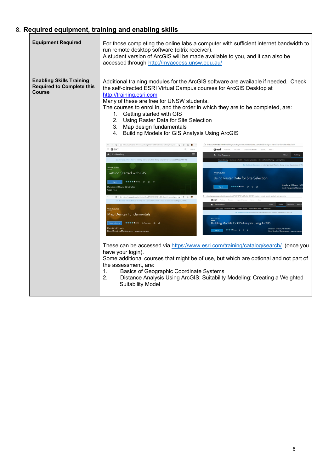## 8. **Required equipment, training and enabling skills**

| <b>Equipment Required</b>                                                            | For those completing the online labs a computer with sufficient internet bandwidth to<br>run remote desktop software (citrix receiver).<br>A student version of ArcGIS will be made available to you, and it can also be<br>accessed through http://myaccess.unsw.edu.au/                                                                                                                                                                                                                                                                                                                                                                                                                                                                                                                                                                                                                                                                                                                                                                                                                                                                                                                                                                                                                                                                                                                                                                                                                                                                                                                                                                                                                                                                                                                                                                                                                                                                                                                                                                                                                                                                                                                                                                                                                                                                                                                                                                                |  |  |  |  |
|--------------------------------------------------------------------------------------|----------------------------------------------------------------------------------------------------------------------------------------------------------------------------------------------------------------------------------------------------------------------------------------------------------------------------------------------------------------------------------------------------------------------------------------------------------------------------------------------------------------------------------------------------------------------------------------------------------------------------------------------------------------------------------------------------------------------------------------------------------------------------------------------------------------------------------------------------------------------------------------------------------------------------------------------------------------------------------------------------------------------------------------------------------------------------------------------------------------------------------------------------------------------------------------------------------------------------------------------------------------------------------------------------------------------------------------------------------------------------------------------------------------------------------------------------------------------------------------------------------------------------------------------------------------------------------------------------------------------------------------------------------------------------------------------------------------------------------------------------------------------------------------------------------------------------------------------------------------------------------------------------------------------------------------------------------------------------------------------------------------------------------------------------------------------------------------------------------------------------------------------------------------------------------------------------------------------------------------------------------------------------------------------------------------------------------------------------------------------------------------------------------------------------------------------------------|--|--|--|--|
| <b>Enabling Skills Training</b><br><b>Required to Complete this</b><br><b>Course</b> | Additional training modules for the ArcGIS software are available if needed. Check<br>the self-directed ESRI Virtual Campus courses for ArcGIS Desktop at<br>http://training.esri.com<br>Many of these are free for UNSW students.<br>The courses to enrol in, and the order in which they are to be completed, are:<br>1. Getting started with GIS<br>2. Using Raster Data for Site Selection<br>3. Map design fundamentals<br>4. Building Models for GIS Analysis Using ArcGIS<br>← → C 0 https://www.esri.com/training/catalog/57630434851d31e02a43ef28/getting-star (@ 0 0<br>https://www.esri.com/training/catalog/57630436851d31e02a43f0dd/using-raster-data-for-site-selection<br>49<br>$\equiv$ @esri<br>Cesti Products Solutions Support-& Services Stories About<br>$\equiv$<br>Esri Academy<br>Esri Academy<br>Catalog<br>e Catalog Courses by Schedule Courses by Location New and Retired Train<br><b>Web Course</b><br>Getting Started with GIS<br><b>Web Course</b><br>Using Raster Data for Site Selection<br>$\bullet\bullet\bullet\bullet\bullet_{\{\text{GMD}(\mathbb{Z})\}}\quad\heartsuit\quad\textcircled{e}\quad\textcircled{e}$<br>Duration: 2 Hours, 15 M<br>$\bullet\bullet\bullet\bullet\bullet_{(1221)}\quad\bigcirc\quad\bullet\quad\phi$<br>Duration: 3 Hours, 30 Minutes<br>Sign In<br><b>Cost: Requires Mainte</b><br>Cost: Free<br>https://www.esri.com/training/catalog/57630437851d31e02a43f219/building-models-for-gis-analysis-using<br>C @ https://www.esri.com/training/catalog/57630431851d31e02a43ee5a/map-design (a p @ @ -<br>Cesri Products Solutions Support & Services Stories About<br>Get the latest information on training and certification during coronavirus disease 2019 (COVID-19).<br>About Catalog Certification<br>B Esri Academy<br>Web Course<br>Map Design Fundamentals<br>Web Course<br>●●●●●(465) In Progress → ☆<br><b>Building Models for GIS Analysis Using ArcGIS</b><br>Duration: 2 Hours<br>Duration: 3 Hours, 45 Minutes<br>Cost: Requires Maintenance - Learnhow to access.<br>Cost: Requires Maintenance - Learnha<br>These can be accessed via https://www.esri.com/training/catalog/search/ (once you<br>have your login).<br>Some additional courses that might be of use, but which are optional and not part of<br>the assessment, are:<br>1.<br>Basics of Geographic Coordinate Systems<br>2.<br>Distance Analysis Using ArcGIS; Suitability Modeling: Creating a Weighted |  |  |  |  |
|                                                                                      | <b>Suitability Model</b>                                                                                                                                                                                                                                                                                                                                                                                                                                                                                                                                                                                                                                                                                                                                                                                                                                                                                                                                                                                                                                                                                                                                                                                                                                                                                                                                                                                                                                                                                                                                                                                                                                                                                                                                                                                                                                                                                                                                                                                                                                                                                                                                                                                                                                                                                                                                                                                                                                 |  |  |  |  |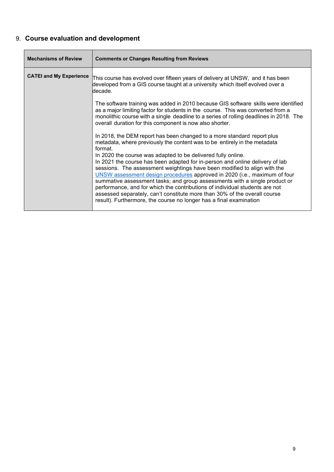# <span id="page-10-0"></span>9. **Course evaluation and development**

| <b>Mechanisms of Review</b>    | <b>Comments or Changes Resulting from Reviews</b>                                                                                                                                                                                                                                                                                                                                                                                                                                                                                                     |
|--------------------------------|-------------------------------------------------------------------------------------------------------------------------------------------------------------------------------------------------------------------------------------------------------------------------------------------------------------------------------------------------------------------------------------------------------------------------------------------------------------------------------------------------------------------------------------------------------|
| <b>CATEI and My Experience</b> | This course has evolved over fifteen years of delivery at UNSW,  and it has been<br>developed from a GIS course taught at a university which itself evolved over a<br>decade.                                                                                                                                                                                                                                                                                                                                                                         |
|                                | The software training was added in 2010 because GIS software skills were identified<br>as a major limiting factor for students in the course. This was converted from a<br>monolithic course with a single deadline to a series of rolling deadlines in 2018. The<br>overall duration for this component is now also shorter.                                                                                                                                                                                                                         |
|                                | In 2018, the DEM report has been changed to a more standard report plus<br>metadata, where previously the content was to be entirely in the metadata<br>format.<br>In 2020 the course was adapted to be delivered fully online.                                                                                                                                                                                                                                                                                                                       |
|                                | In 2021 the course has been adapted for in-person and online delivery of lab<br>sessions. The assessment weightings have been modified to align with the<br>UNSW assessment design procedures approved in 2020 (i.e., maximum of four<br>summative assessment tasks; and group assessments with a single product or<br>performance, and for which the contributions of individual students are not<br>assessed separately, can't constitute more than 30% of the overall course<br>result). Furthermore, the course no longer has a final examination |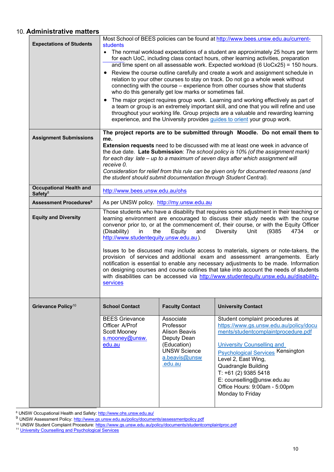### <span id="page-11-0"></span>10. **Administrative matters**

| <b>Expectations of Students</b>                       | Most School of BEES policies can be found at http://www.bees.unsw.edu.au/current-<br>students<br>The normal workload expectations of a student are approximately 25 hours per term<br>for each UoC, including class contact hours, other learning activities, preparation<br>and time spent on all assessable work. Expected workload (6 UoCx25) = 150 hours.<br>Review the course outline carefully and create a work and assignment schedule in<br>relation to your other courses to stay on track. Do not go a whole week without<br>connecting with the course - experience from other courses show that students<br>who do this generally get low marks or sometimes fail.<br>The major project requires group work. Learning and working effectively as part of<br>a team or group is an extremely important skill, and one that you will refine and use<br>throughout your working life. Group projects are a valuable and rewarding learning<br>experience, and the University provides guides to orient your group work. |                                                                                                                                 |                                                                                                                                                                                                                                                                                                                                                             |
|-------------------------------------------------------|-----------------------------------------------------------------------------------------------------------------------------------------------------------------------------------------------------------------------------------------------------------------------------------------------------------------------------------------------------------------------------------------------------------------------------------------------------------------------------------------------------------------------------------------------------------------------------------------------------------------------------------------------------------------------------------------------------------------------------------------------------------------------------------------------------------------------------------------------------------------------------------------------------------------------------------------------------------------------------------------------------------------------------------|---------------------------------------------------------------------------------------------------------------------------------|-------------------------------------------------------------------------------------------------------------------------------------------------------------------------------------------------------------------------------------------------------------------------------------------------------------------------------------------------------------|
| <b>Assignment Submissions</b>                         | The project reports are to be submitted through Moodle. Do not email them to<br>me.<br><b>Extension requests</b> need to be discussed with me at least one week in advance of<br>the due date. Late Submission: The school policy is 10% (of the assignment mark)<br>for each day late - up to a maximum of seven days after which assignment will<br>receive 0.<br>Consideration for relief from this rule can be given only for documented reasons (and<br>the student should submit documentation through Student Central).                                                                                                                                                                                                                                                                                                                                                                                                                                                                                                    |                                                                                                                                 |                                                                                                                                                                                                                                                                                                                                                             |
| <b>Occupational Health and</b><br>Safety <sup>8</sup> | http://www.bees.unsw.edu.au/ohs                                                                                                                                                                                                                                                                                                                                                                                                                                                                                                                                                                                                                                                                                                                                                                                                                                                                                                                                                                                                   |                                                                                                                                 |                                                                                                                                                                                                                                                                                                                                                             |
| <b>Assessment Procedures<sup>9</sup></b>              | As per UNSW policy. http://my.unsw.edu.au                                                                                                                                                                                                                                                                                                                                                                                                                                                                                                                                                                                                                                                                                                                                                                                                                                                                                                                                                                                         |                                                                                                                                 |                                                                                                                                                                                                                                                                                                                                                             |
| <b>Equity and Diversity</b>                           | Those students who have a disability that requires some adjustment in their teaching or<br>learning environment are encouraged to discuss their study needs with the course<br>convenor prior to, or at the commencement of, their course, or with the Equity Officer<br>(Disability)<br>(9385)<br>4734<br>in<br>the<br>Equity<br><b>Diversity</b><br>Unit<br>and<br>or<br>http://www.studentequity.unsw.edu.au).<br>Issues to be discussed may include access to materials, signers or note-takers, the<br>provision of services and additional exam and assessment arrangements. Early<br>notification is essential to enable any necessary adjustments to be made. Information<br>on designing courses and course outlines that take into account the needs of students<br>with disabilities can be accessed via http://www.studentequity.unsw.edu.au/disability-<br>services                                                                                                                                                  |                                                                                                                                 |                                                                                                                                                                                                                                                                                                                                                             |
| Grievance Policy <sup>10</sup>                        | <b>School Contact</b>                                                                                                                                                                                                                                                                                                                                                                                                                                                                                                                                                                                                                                                                                                                                                                                                                                                                                                                                                                                                             | <b>Faculty Contact</b>                                                                                                          | <b>University Contact</b>                                                                                                                                                                                                                                                                                                                                   |
|                                                       | <b>BEES Grievance</b><br>Officer A/Prof<br>Scott Mooney<br>s.mooney@unsw.<br>edu.au                                                                                                                                                                                                                                                                                                                                                                                                                                                                                                                                                                                                                                                                                                                                                                                                                                                                                                                                               | Associate<br>Professor<br><b>Alison Beavis</b><br>Deputy Dean<br>(Education)<br><b>UNSW Science</b><br>a.beavis@unsw<br>.edu.au | Student complaint procedures at<br>https://www.gs.unsw.edu.au/policy/docu<br>ments/studentcomplaintprocedure.pdf<br>University Counselling and<br><b>Psychological Services Kensington</b><br>Level 2, East Wing,<br><b>Quadrangle Building</b><br>$T: +61(2)$ 9385 5418<br>E: counselling@unsw.edu.au<br>Office Hours: 9:00am - 5:00pm<br>Monday to Friday |

8 UNSW Occupational Health and Safety: <http://www.ohs.unsw.edu.au/>

<sup>9</sup> UNSW Assessment Policy: <u><http://www.gs.unsw.edu.au/policy/documents/assessmentpolicy.pdf></u>

<sup>10</sup> UNSW Student Complaint Procedure: <u><https://www.gs.unsw.edu.au/policy/documents/studentcomplaintproc.pdf></u>

<sup>11</sup> [University Counselling and](http://www.counselling.unsw.edu.au/) Psychological Services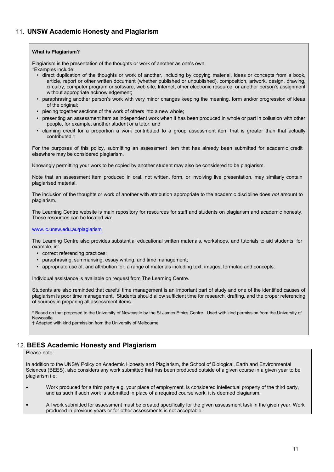#### <span id="page-12-0"></span>**What is Plagiarism?**

Plagiarism is the presentation of the thoughts or work of another as one's own.

\*Examples include:

- direct duplication of the thoughts or work of another, including by copying material, ideas or concepts from a book, article, report or other written document (whether published or unpublished), composition, artwork, design, drawing, circuitry, computer program or software, web site, Internet, other electronic resource, or another person's assignment without appropriate acknowledgement;
- paraphrasing another person's work with very minor changes keeping the meaning, form and/or progression of ideas of the original;
- piecing together sections of the work of others into a new whole;
- presenting an assessment item as independent work when it has been produced in whole or part in collusion with other people, for example, another student or a tutor; and
- claiming credit for a proportion a work contributed to a group assessment item that is greater than that actually contributed.†

For the purposes of this policy, submitting an assessment item that has already been submitted for academic credit elsewhere may be considered plagiarism.

Knowingly permitting your work to be copied by another student may also be considered to be plagiarism.

Note that an assessment item produced in oral, not written, form, or involving live presentation, may similarly contain plagiarised material.

The inclusion of the thoughts or work of another with attribution appropriate to the academic discipline does *not* amount to plagiarism.

The Learning Centre website is main repository for resources for staff and students on plagiarism and academic honesty. These resources can be located via:

#### [www.lc.unsw.edu.au/plagiarism](http://www.lc.unsw.edu.au/plagiarism)

The Learning Centre also provides substantial educational written materials, workshops, and tutorials to aid students, for example, in:

- correct referencing practices;
- paraphrasing, summarising, essay writing, and time management;
- appropriate use of, and attribution for, a range of materials including text, images, formulae and concepts.

Individual assistance is available on request from The Learning Centre.

Students are also reminded that careful time management is an important part of study and one of the identified causes of plagiarism is poor time management. Students should allow sufficient time for research, drafting, and the proper referencing of sources in preparing all assessment items.

\* Based on that proposed to the University of Newcastle by the St James Ethics Centre. Used with kind permission from the University of Newcastle

† Adapted with kind permission from the University of Melbourne

### <span id="page-12-1"></span>12. **BEES Academic Honesty and Plagiarism**

#### Please note:

In addition to the UNSW Policy on Academic Honesty and Plagiarism, the School of Biological, Earth and Environmental Sciences (BEES), also considers any work submitted that has been produced outside of a given course in a given year to be plagiarism i.e:

- Work produced for a third party e.g. your place of employment, is considered intellectual property of the third party, and as such if such work is submitted in place of a required course work, it is deemed plagiarism.
- All work submitted for assessment must be created specifically for the given assessment task in the given year. Work produced in previous years or for other assessments is not acceptable.